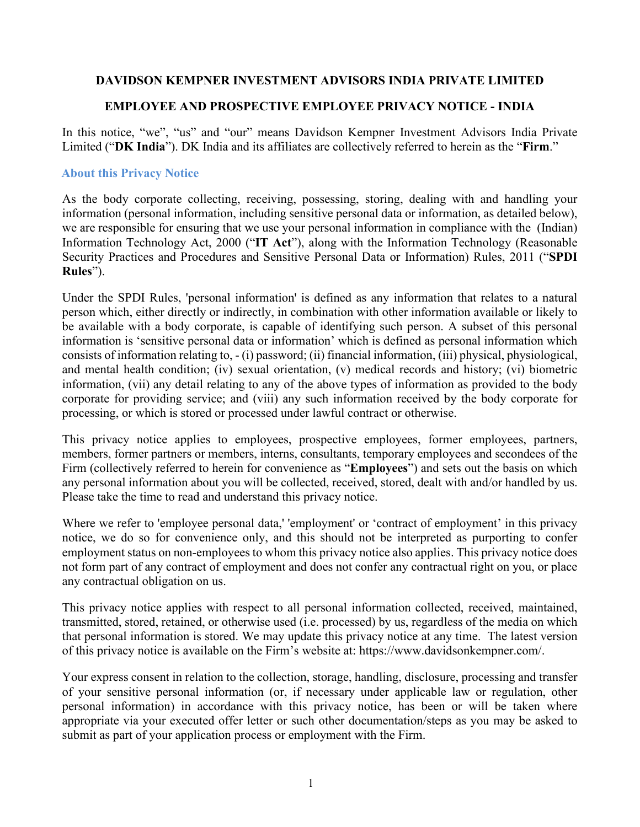### **DAVIDSON KEMPNER INVESTMENT ADVISORS INDIA PRIVATE LIMITED**

### **EMPLOYEE AND PROSPECTIVE EMPLOYEE PRIVACY NOTICE - INDIA**

In this notice, "we", "us" and "our" means Davidson Kempner Investment Advisors India Private Limited ("**DK India**"). DK India and its affiliates are collectively referred to herein as the "**Firm**."

#### **About this Privacy Notice**

As the body corporate collecting, receiving, possessing, storing, dealing with and handling your information (personal information, including sensitive personal data or information, as detailed below), we are responsible for ensuring that we use your personal information in compliance with the (Indian) Information Technology Act, 2000 ("**IT Act**"), along with the Information Technology (Reasonable Security Practices and Procedures and Sensitive Personal Data or Information) Rules, 2011 ("**SPDI Rules**").

Under the SPDI Rules, 'personal information' is defined as any information that relates to a natural person which, either directly or indirectly, in combination with other information available or likely to be available with a body corporate, is capable of identifying such person. A subset of this personal information is 'sensitive personal data or information' which is defined as personal information which consists of information relating to, - (i) password; (ii) financial information, (iii) physical, physiological, and mental health condition; (iv) sexual orientation, (v) medical records and history; (vi) biometric information, (vii) any detail relating to any of the above types of information as provided to the body corporate for providing service; and (viii) any such information received by the body corporate for processing, or which is stored or processed under lawful contract or otherwise.

This privacy notice applies to employees, prospective employees, former employees, partners, members, former partners or members, interns, consultants, temporary employees and secondees of the Firm (collectively referred to herein for convenience as "**Employees**") and sets out the basis on which any personal information about you will be collected, received, stored, dealt with and/or handled by us. Please take the time to read and understand this privacy notice.

Where we refer to 'employee personal data,' 'employment' or 'contract of employment' in this privacy notice, we do so for convenience only, and this should not be interpreted as purporting to confer employment status on non-employees to whom this privacy notice also applies. This privacy notice does not form part of any contract of employment and does not confer any contractual right on you, or place any contractual obligation on us.

This privacy notice applies with respect to all personal information collected, received, maintained, transmitted, stored, retained, or otherwise used (i.e. processed) by us, regardless of the media on which that personal information is stored. We may update this privacy notice at any time. The latest version of this privacy notice is available on the Firm's website at: https://www.davidsonkempner.com/.

Your express consent in relation to the collection, storage, handling, disclosure, processing and transfer of your sensitive personal information (or, if necessary under applicable law or regulation, other personal information) in accordance with this privacy notice, has been or will be taken where appropriate via your executed offer letter or such other documentation/steps as you may be asked to submit as part of your application process or employment with the Firm.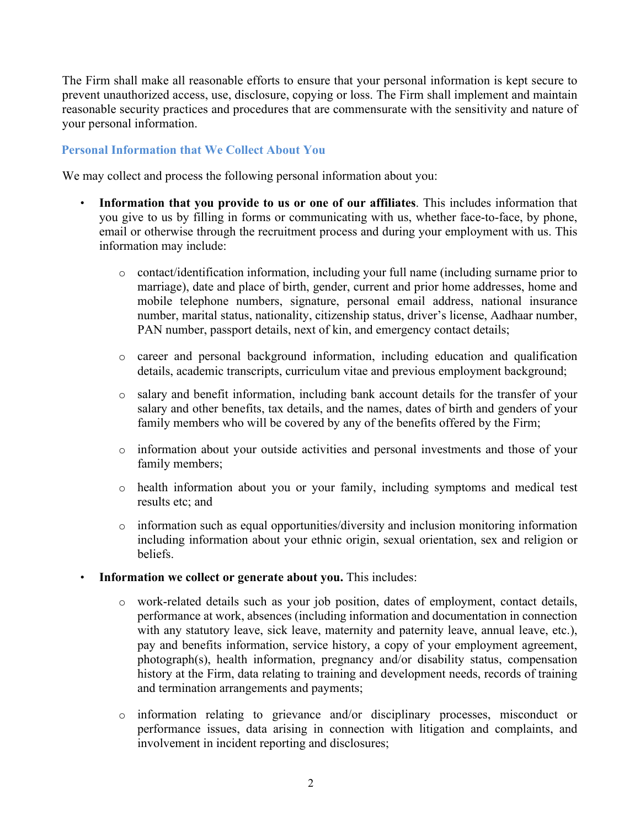The Firm shall make all reasonable efforts to ensure that your personal information is kept secure to prevent unauthorized access, use, disclosure, copying or loss. The Firm shall implement and maintain reasonable security practices and procedures that are commensurate with the sensitivity and nature of your personal information.

# **Personal Information that We Collect About You**

We may collect and process the following personal information about you:

- **Information that you provide to us or one of our affiliates**. This includes information that you give to us by filling in forms or communicating with us, whether face-to-face, by phone, email or otherwise through the recruitment process and during your employment with us. This information may include:
	- o contact/identification information, including your full name (including surname prior to marriage), date and place of birth, gender, current and prior home addresses, home and mobile telephone numbers, signature, personal email address, national insurance number, marital status, nationality, citizenship status, driver's license, Aadhaar number, PAN number, passport details, next of kin, and emergency contact details;
	- o career and personal background information, including education and qualification details, academic transcripts, curriculum vitae and previous employment background;
	- o salary and benefit information, including bank account details for the transfer of your salary and other benefits, tax details, and the names, dates of birth and genders of your family members who will be covered by any of the benefits offered by the Firm;
	- o information about your outside activities and personal investments and those of your family members;
	- o health information about you or your family, including symptoms and medical test results etc; and
	- $\circ$  information such as equal opportunities/diversity and inclusion monitoring information including information about your ethnic origin, sexual orientation, sex and religion or beliefs.
- **Information we collect or generate about you.** This includes:
	- o work-related details such as your job position, dates of employment, contact details, performance at work, absences (including information and documentation in connection with any statutory leave, sick leave, maternity and paternity leave, annual leave, etc.), pay and benefits information, service history, a copy of your employment agreement, photograph(s), health information, pregnancy and/or disability status, compensation history at the Firm, data relating to training and development needs, records of training and termination arrangements and payments;
	- o information relating to grievance and/or disciplinary processes, misconduct or performance issues, data arising in connection with litigation and complaints, and involvement in incident reporting and disclosures;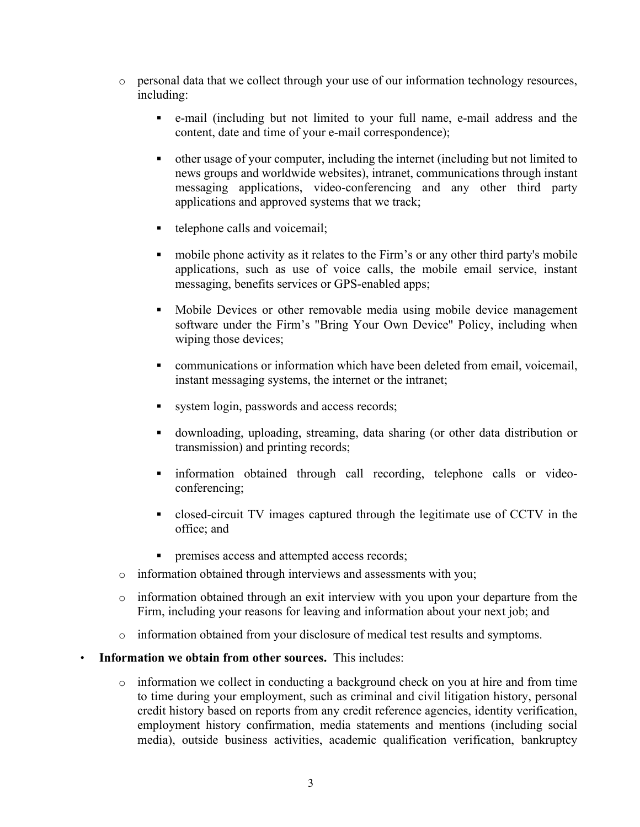- o personal data that we collect through your use of our information technology resources, including:
	- e-mail (including but not limited to your full name, e-mail address and the content, date and time of your e-mail correspondence);
	- other usage of your computer, including the internet (including but not limited to news groups and worldwide websites), intranet, communications through instant messaging applications, video-conferencing and any other third party applications and approved systems that we track;
	- $\blacksquare$  telephone calls and voicemail;
	- mobile phone activity as it relates to the Firm's or any other third party's mobile applications, such as use of voice calls, the mobile email service, instant messaging, benefits services or GPS-enabled apps;
	- Mobile Devices or other removable media using mobile device management software under the Firm's "Bring Your Own Device" Policy, including when wiping those devices;
	- communications or information which have been deleted from email, voicemail, instant messaging systems, the internet or the intranet;
	- versions system login, passwords and access records;
	- downloading, uploading, streaming, data sharing (or other data distribution or transmission) and printing records;
	- information obtained through call recording, telephone calls or videoconferencing;
	- closed-circuit TV images captured through the legitimate use of CCTV in the office; and
	- **PERITE:** premises access and attempted access records;
- o information obtained through interviews and assessments with you;
- o information obtained through an exit interview with you upon your departure from the Firm, including your reasons for leaving and information about your next job; and
- o information obtained from your disclosure of medical test results and symptoms.
- **Information we obtain from other sources.** This includes:
	- o information we collect in conducting a background check on you at hire and from time to time during your employment, such as criminal and civil litigation history, personal credit history based on reports from any credit reference agencies, identity verification, employment history confirmation, media statements and mentions (including social media), outside business activities, academic qualification verification, bankruptcy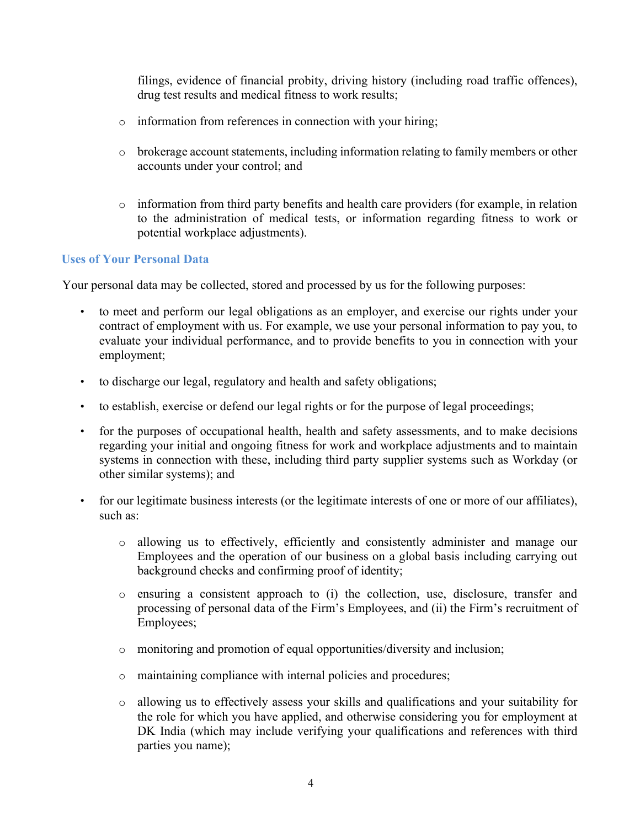filings, evidence of financial probity, driving history (including road traffic offences), drug test results and medical fitness to work results;

- o information from references in connection with your hiring;
- $\circ$  brokerage account statements, including information relating to family members or other accounts under your control; and
- o information from third party benefits and health care providers (for example, in relation to the administration of medical tests, or information regarding fitness to work or potential workplace adjustments).

## **Uses of Your Personal Data**

Your personal data may be collected, stored and processed by us for the following purposes:

- to meet and perform our legal obligations as an employer, and exercise our rights under your contract of employment with us. For example, we use your personal information to pay you, to evaluate your individual performance, and to provide benefits to you in connection with your employment;
- to discharge our legal, regulatory and health and safety obligations;
- to establish, exercise or defend our legal rights or for the purpose of legal proceedings;
- for the purposes of occupational health, health and safety assessments, and to make decisions regarding your initial and ongoing fitness for work and workplace adjustments and to maintain systems in connection with these, including third party supplier systems such as Workday (or other similar systems); and
- for our legitimate business interests (or the legitimate interests of one or more of our affiliates), such as:
	- o allowing us to effectively, efficiently and consistently administer and manage our Employees and the operation of our business on a global basis including carrying out background checks and confirming proof of identity;
	- o ensuring a consistent approach to (i) the collection, use, disclosure, transfer and processing of personal data of the Firm's Employees, and (ii) the Firm's recruitment of Employees;
	- o monitoring and promotion of equal opportunities/diversity and inclusion;
	- o maintaining compliance with internal policies and procedures;
	- o allowing us to effectively assess your skills and qualifications and your suitability for the role for which you have applied, and otherwise considering you for employment at DK India (which may include verifying your qualifications and references with third parties you name);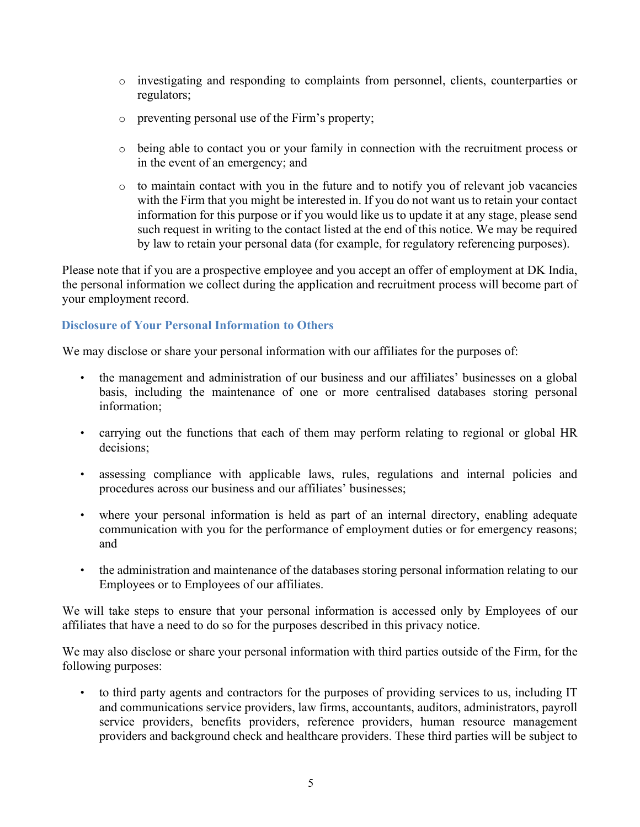- o investigating and responding to complaints from personnel, clients, counterparties or regulators;
- o preventing personal use of the Firm's property;
- o being able to contact you or your family in connection with the recruitment process or in the event of an emergency; and
- o to maintain contact with you in the future and to notify you of relevant job vacancies with the Firm that you might be interested in. If you do not want us to retain your contact information for this purpose or if you would like us to update it at any stage, please send such request in writing to the contact listed at the end of this notice. We may be required by law to retain your personal data (for example, for regulatory referencing purposes).

Please note that if you are a prospective employee and you accept an offer of employment at DK India, the personal information we collect during the application and recruitment process will become part of your employment record.

### **Disclosure of Your Personal Information to Others**

We may disclose or share your personal information with our affiliates for the purposes of:

- the management and administration of our business and our affiliates' businesses on a global basis, including the maintenance of one or more centralised databases storing personal information;
- carrying out the functions that each of them may perform relating to regional or global HR decisions;
- assessing compliance with applicable laws, rules, regulations and internal policies and procedures across our business and our affiliates' businesses;
- where your personal information is held as part of an internal directory, enabling adequate communication with you for the performance of employment duties or for emergency reasons; and
- the administration and maintenance of the databases storing personal information relating to our Employees or to Employees of our affiliates.

We will take steps to ensure that your personal information is accessed only by Employees of our affiliates that have a need to do so for the purposes described in this privacy notice.

We may also disclose or share your personal information with third parties outside of the Firm, for the following purposes:

• to third party agents and contractors for the purposes of providing services to us, including IT and communications service providers, law firms, accountants, auditors, administrators, payroll service providers, benefits providers, reference providers, human resource management providers and background check and healthcare providers. These third parties will be subject to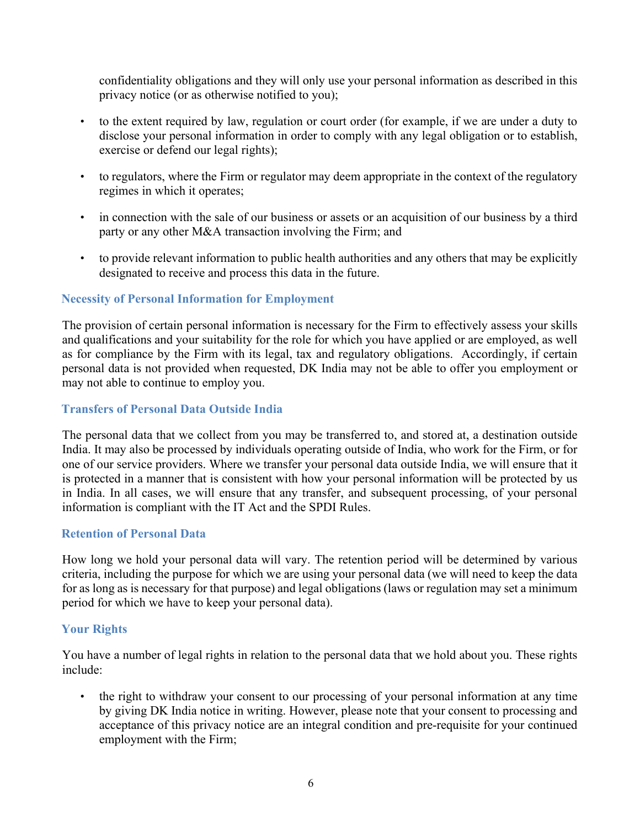confidentiality obligations and they will only use your personal information as described in this privacy notice (or as otherwise notified to you);

- to the extent required by law, regulation or court order (for example, if we are under a duty to disclose your personal information in order to comply with any legal obligation or to establish, exercise or defend our legal rights);
- to regulators, where the Firm or regulator may deem appropriate in the context of the regulatory regimes in which it operates;
- in connection with the sale of our business or assets or an acquisition of our business by a third party or any other M&A transaction involving the Firm; and
- to provide relevant information to public health authorities and any others that may be explicitly designated to receive and process this data in the future.

### **Necessity of Personal Information for Employment**

The provision of certain personal information is necessary for the Firm to effectively assess your skills and qualifications and your suitability for the role for which you have applied or are employed, as well as for compliance by the Firm with its legal, tax and regulatory obligations. Accordingly, if certain personal data is not provided when requested, DK India may not be able to offer you employment or may not able to continue to employ you.

#### **Transfers of Personal Data Outside India**

The personal data that we collect from you may be transferred to, and stored at, a destination outside India. It may also be processed by individuals operating outside of India, who work for the Firm, or for one of our service providers. Where we transfer your personal data outside India, we will ensure that it is protected in a manner that is consistent with how your personal information will be protected by us in India. In all cases, we will ensure that any transfer, and subsequent processing, of your personal information is compliant with the IT Act and the SPDI Rules.

#### **Retention of Personal Data**

How long we hold your personal data will vary. The retention period will be determined by various criteria, including the purpose for which we are using your personal data (we will need to keep the data for as long as is necessary for that purpose) and legal obligations (laws or regulation may set a minimum period for which we have to keep your personal data).

## **Your Rights**

You have a number of legal rights in relation to the personal data that we hold about you. These rights include:

• the right to withdraw your consent to our processing of your personal information at any time by giving DK India notice in writing. However, please note that your consent to processing and acceptance of this privacy notice are an integral condition and pre-requisite for your continued employment with the Firm;